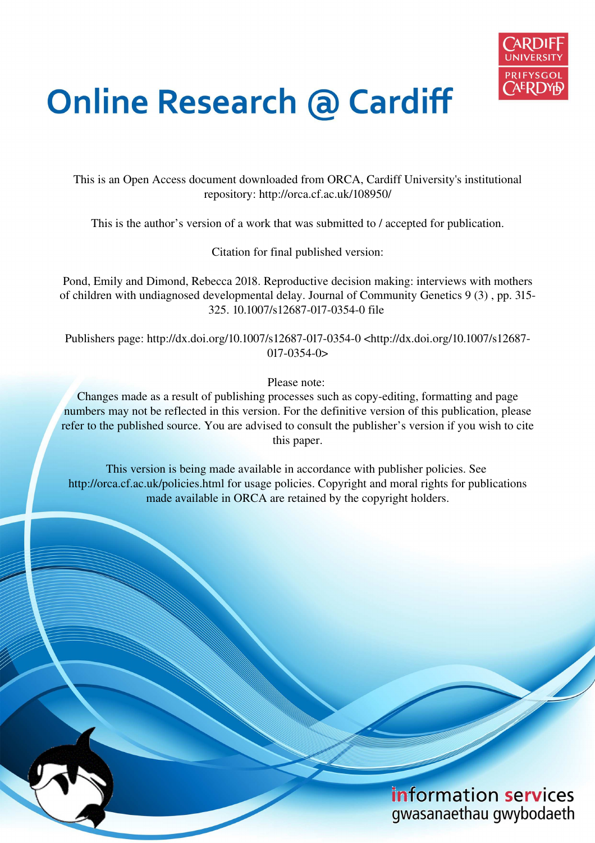

# **Online Research @ Cardiff**

This is an Open Access document downloaded from ORCA, Cardiff University's institutional repository: http://orca.cf.ac.uk/108950/

This is the author's version of a work that was submitted to / accepted for publication.

Citation for final published version:

Pond, Emily and Dimond, Rebecca 2018. Reproductive decision making: interviews with mothers of children with undiagnosed developmental delay. Journal of Community Genetics 9 (3) , pp. 315- 325. 10.1007/s12687-017-0354-0 file

Publishers page: http://dx.doi.org/10.1007/s12687-017-0354-0 <http://dx.doi.org/10.1007/s12687- 017-0354-0>

Please note:

Changes made as a result of publishing processes such as copy-editing, formatting and page numbers may not be reflected in this version. For the definitive version of this publication, please refer to the published source. You are advised to consult the publisher's version if you wish to cite this paper.

This version is being made available in accordance with publisher policies. See http://orca.cf.ac.uk/policies.html for usage policies. Copyright and moral rights for publications made available in ORCA are retained by the copyright holders.

## information services gwasanaethau gwybodaeth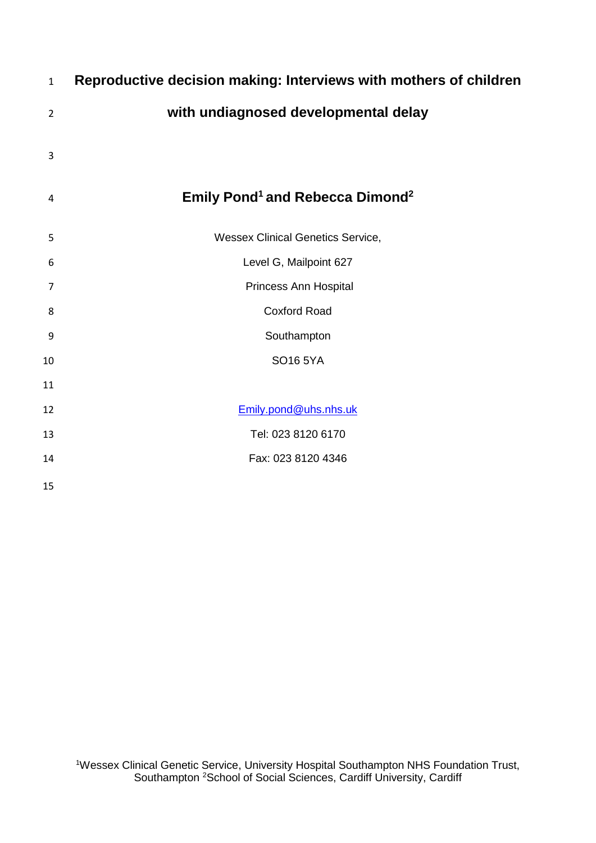| $\mathbf{1}$   | Reproductive decision making: Interviews with mothers of children |
|----------------|-------------------------------------------------------------------|
| $\overline{2}$ | with undiagnosed developmental delay                              |
| 3              |                                                                   |
| 4              | Emily Pond <sup>1</sup> and Rebecca Dimond <sup>2</sup>           |
| 5              | <b>Wessex Clinical Genetics Service,</b>                          |
| 6              | Level G, Mailpoint 627                                            |
| 7              | Princess Ann Hospital                                             |
| 8              | <b>Coxford Road</b>                                               |
| 9              | Southampton                                                       |
| 10             | <b>SO16 5YA</b>                                                   |
| 11             |                                                                   |
| 12             | Emily.pond@uhs.nhs.uk                                             |
| 13             | Tel: 023 8120 6170                                                |
| 14             | Fax: 023 8120 4346                                                |
| 15             |                                                                   |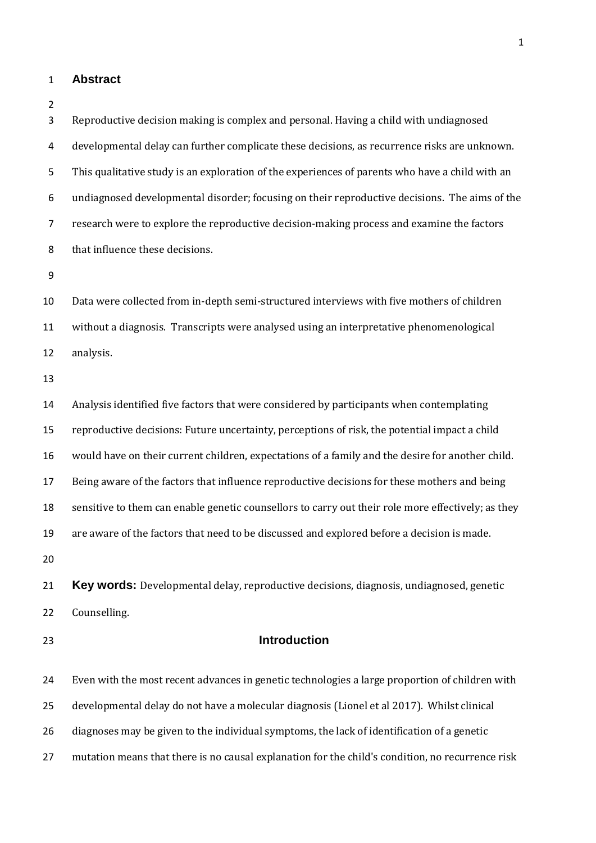**Abstract** 

Reproductive decision making is complex and personal. Having a child with undiagnosed developmental delay can further complicate these decisions, as recurrence risks are unknown. This qualitative study is an exploration of the experiences of parents who have a child with an undiagnosed developmental disorder; focusing on their reproductive decisions. The aims of the research were to explore the reproductive decision-making process and examine the factors that influence these decisions. Data were collected from in-depth semi-structured interviews with five mothers of children without a diagnosis. Transcripts were analysed using an interpretative phenomenological analysis. Analysis identified five factors that were considered by participants when contemplating reproductive decisions: Future uncertainty, perceptions of risk, the potential impact a child would have on their current children, expectations of a family and the desire for another child. Being aware of the factors that influence reproductive decisions for these mothers and being sensitive to them can enable genetic counsellors to carry out their role more effectively; as they are aware of the factors that need to be discussed and explored before a decision is made. **Key words:** Developmental delay, reproductive decisions, diagnosis, undiagnosed, genetic Counselling. **Introduction**  Even with the most recent advances in genetic technologies a large proportion of children with developmental delay do not have a molecular diagnosis (Lionel et al 2017). Whilst clinical diagnoses may be given to the individual symptoms, the lack of identification of a genetic mutation means that there is no causal explanation for the child's condition, no recurrence risk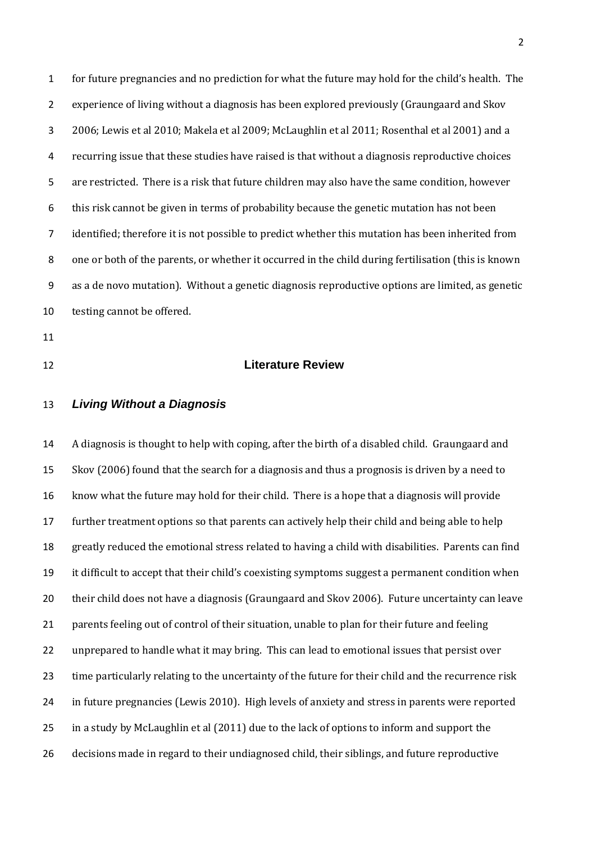1 for future pregnancies and no prediction for what the future may hold for the child's health. The experience of living without a diagnosis has been explored previously (Graungaard and Skov 2006; Lewis et al 2010; Makela et al 2009; McLaughlin et al 2011; Rosenthal et al 2001) and a recurring issue that these studies have raised is that without a diagnosis reproductive choices are restricted. There is a risk that future children may also have the same condition, however this risk cannot be given in terms of probability because the genetic mutation has not been identified; therefore it is not possible to predict whether this mutation has been inherited from one or both of the parents, or whether it occurred in the child during fertilisation (this is known as a de novo mutation). Without a genetic diagnosis reproductive options are limited, as genetic testing cannot be offered.

#### **Literature Review**

#### **Living Without a Diagnosis**

 A diagnosis is thought to help with coping, after the birth of a disabled child. Graungaard and Skov (2006) found that the search for a diagnosis and thus a prognosis is driven by a need to know what the future may hold for their child. There is a hope that a diagnosis will provide further treatment options so that parents can actively help their child and being able to help greatly reduced the emotional stress related to having a child with disabilities. Parents can find 19 it difficult to accept that their child's coexisting symptoms suggest a permanent condition when their child does not have a diagnosis (Graungaard and Skov 2006). Future uncertainty can leave parents feeling out of control of their situation, unable to plan for their future and feeling 22 unprepared to handle what it may bring. This can lead to emotional issues that persist over time particularly relating to the uncertainty of the future for their child and the recurrence risk in future pregnancies (Lewis 2010). High levels of anxiety and stress in parents were reported in a study by McLaughlin et al (2011) due to the lack of options to inform and support the decisions made in regard to their undiagnosed child, their siblings, and future reproductive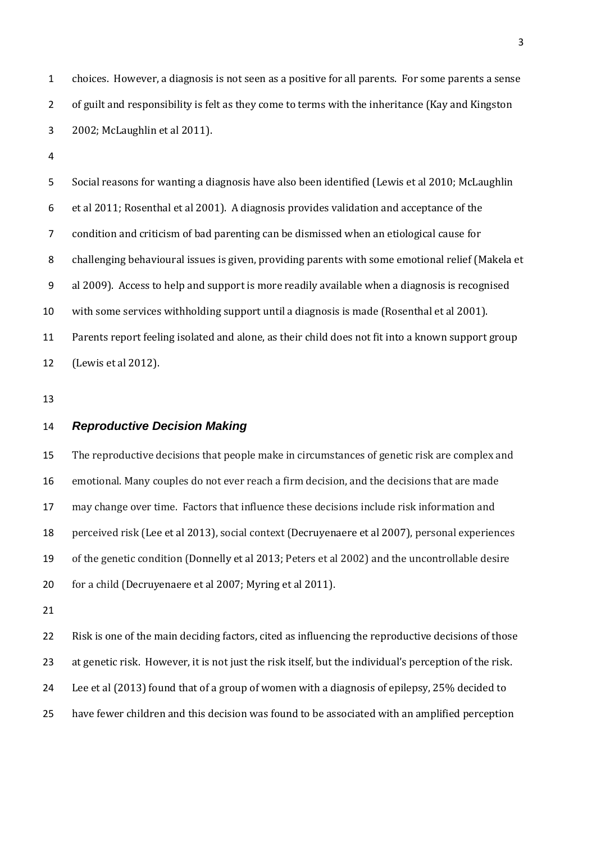choices. However, a diagnosis is not seen as a positive for all parents. For some parents a sense of guilt and responsibility is felt as they come to terms with the inheritance (Kay and Kingston 2002; McLaughlin et al 2011).

Social reasons for wanting a diagnosis have also been identified (Lewis et al 2010; McLaughlin et al 2011; Rosenthal et al 2001). A diagnosis provides validation and acceptance of the condition and criticism of bad parenting can be dismissed when an etiological cause for challenging behavioural issues is given, providing parents with some emotional relief (Makela et al 2009). Access to help and support is more readily available when a diagnosis is recognised with some services withholding support until a diagnosis is made (Rosenthal et al 2001). Parents report feeling isolated and alone, as their child does not fit into a known support group (Lewis et al 2012).

#### **Reproductive Decision Making**

 The reproductive decisions that people make in circumstances of genetic risk are complex and emotional. Many couples do not ever reach a firm decision, and the decisions that are made may change over time. Factors that influence these decisions include risk information and perceived risk (Lee et al 2013), social context (Decruyenaere et al 2007), personal experiences of the genetic condition (Donnelly et al 2013; Peters et al 2002) and the uncontrollable desire for a child (Decruyenaere et al 2007; Myring et al 2011).

 Risk is one of the main deciding factors, cited as influencing the reproductive decisions of those 23 at genetic risk. However, it is not just the risk itself, but the individual's perception of the risk. Lee et al (2013) found that of a group of women with a diagnosis of epilepsy, 25% decided to have fewer children and this decision was found to be associated with an amplified perception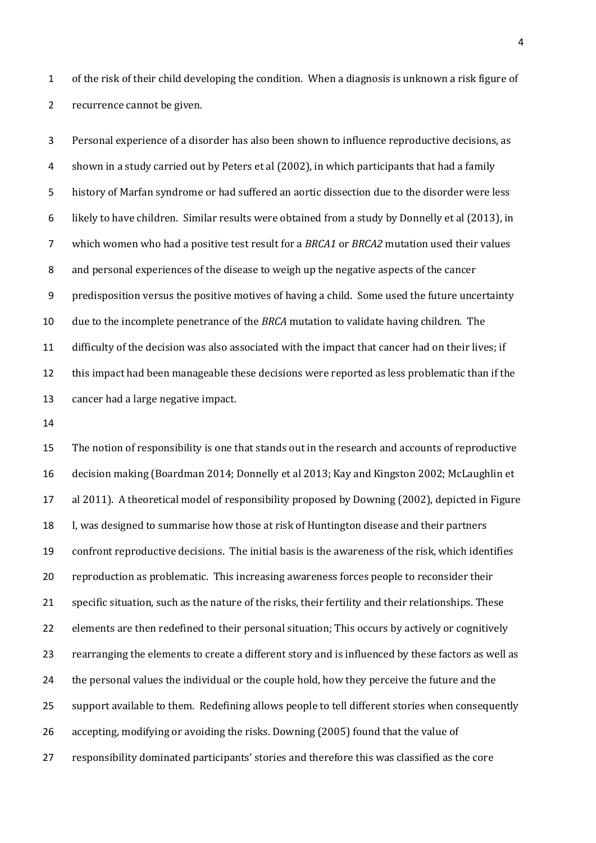of the risk of their child developing the condition. When a diagnosis is unknown a risk figure of recurrence cannot be given.

Personal experience of a disorder has also been shown to influence reproductive decisions, as shown in a study carried out by Peters et al (2002), in which participants that had a family history of Marfan syndrome or had suffered an aortic dissection due to the disorder were less likely to have children. Similar results were obtained from a study by Donnelly et al (2013), in which women who had a positive test result for a *BRCA1* or *BRCA2* mutation used their values and personal experiences of the disease to weigh up the negative aspects of the cancer predisposition versus the positive motives of having a child. Some used the future uncertainty due to the incomplete penetrance of the *BRCA* mutation to validate having children. The difficulty of the decision was also associated with the impact that cancer had on their lives; if this impact had been manageable these decisions were reported as less problematic than if the cancer had a large negative impact.

 The notion of responsibility is one that stands out in the research and accounts of reproductive decision making (Boardman 2014; Donnelly et al 2013; Kay and Kingston 2002; McLaughlin et al 2011). A theoretical model of responsibility proposed by Downing (2002), depicted in Figure I, was designed to summarise how those at risk of Huntington disease and their partners confront reproductive decisions. The initial basis is the awareness of the risk, which identifies reproduction as problematic. This increasing awareness forces people to reconsider their specific situation, such as the nature of the risks, their fertility and their relationships. These elements are then redefined to their personal situation; This occurs by actively or cognitively rearranging the elements to create a different story and is influenced by these factors as well as 24 the personal values the individual or the couple hold, how they perceive the future and the support available to them. Redefining allows people to tell different stories when consequently accepting, modifying or avoiding the risks. Downing (2005) found that the value of 27 responsibility dominated participants' stories and therefore this was classified as the core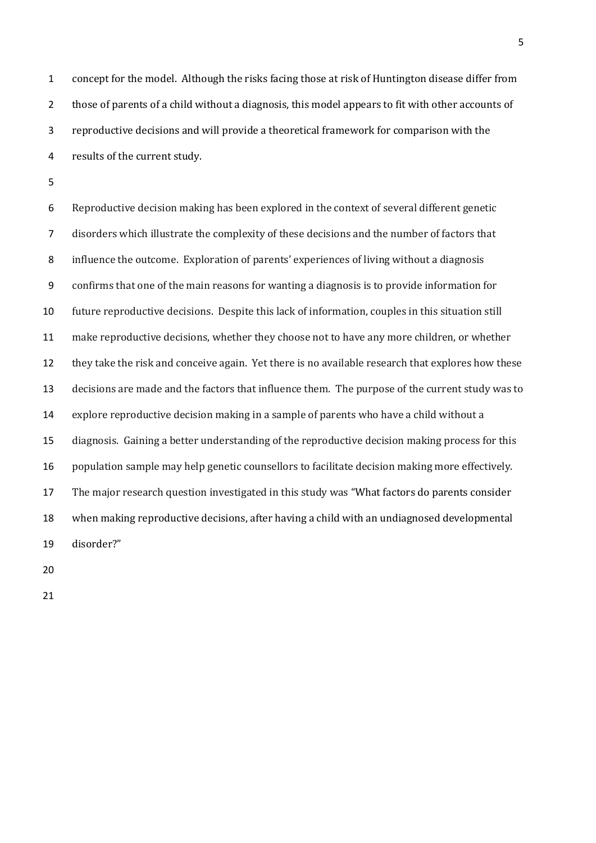concept for the model. Although the risks facing those at risk of Huntington disease differ from those of parents of a child without a diagnosis, this model appears to fit with other accounts of reproductive decisions and will provide a theoretical framework for comparison with the results of the current study.

Reproductive decision making has been explored in the context of several different genetic disorders which illustrate the complexity of these decisions and the number of factors that 8 influence the outcome. Exploration of parents' experiences of living without a diagnosis confirms that one of the main reasons for wanting a diagnosis is to provide information for future reproductive decisions. Despite this lack of information, couples in this situation still make reproductive decisions, whether they choose not to have any more children, or whether they take the risk and conceive again. Yet there is no available research that explores how these decisions are made and the factors that influence them. The purpose of the current study was to explore reproductive decision making in a sample of parents who have a child without a diagnosis. Gaining a better understanding of the reproductive decision making process for this population sample may help genetic counsellors to facilitate decision making more effectively. 17 The major research question investigated in this study was "What factors do parents consider when making reproductive decisions, after having a child with an undiagnosed developmental 19 disorder?"

- 
-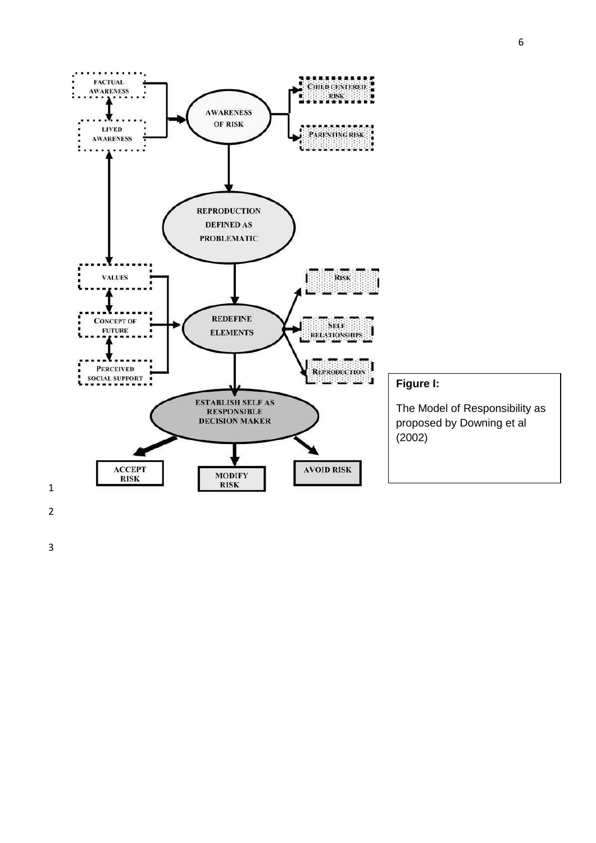



3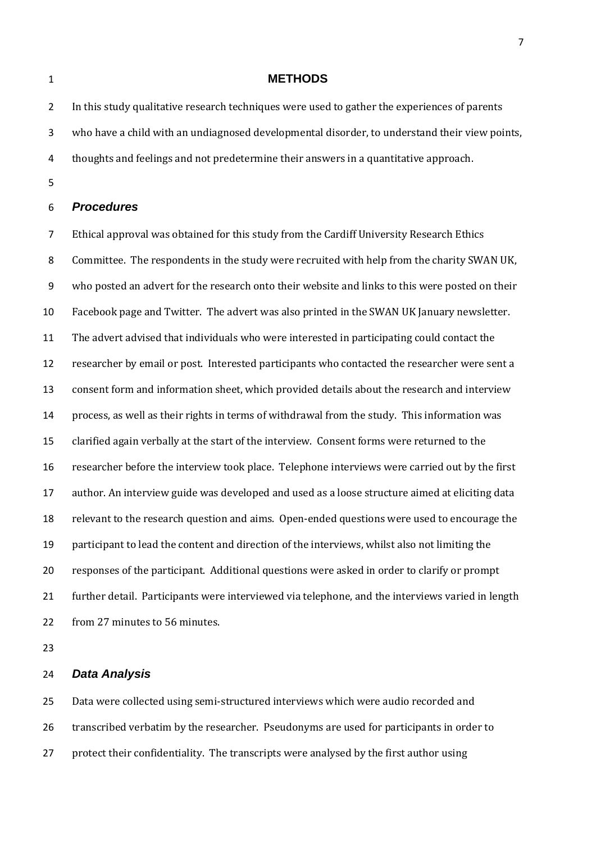#### **METHODS**

2 In this study qualitative research techniques were used to gather the experiences of parents who have a child with an undiagnosed developmental disorder, to understand their view points, thoughts and feelings and not predetermine their answers in a quantitative approach.

#### **Procedures**

Ethical approval was obtained for this study from the Cardiff University Research Ethics Committee. The respondents in the study were recruited with help from the charity SWAN UK, who posted an advert for the research onto their website and links to this were posted on their Facebook page and Twitter. The advert was also printed in the SWAN UK January newsletter. The advert advised that individuals who were interested in participating could contact the researcher by email or post. Interested participants who contacted the researcher were sent a consent form and information sheet, which provided details about the research and interview process, as well as their rights in terms of withdrawal from the study. This information was clarified again verbally at the start of the interview. Consent forms were returned to the researcher before the interview took place. Telephone interviews were carried out by the first author. An interview guide was developed and used as a loose structure aimed at eliciting data relevant to the research question and aims. Open-ended questions were used to encourage the participant to lead the content and direction of the interviews, whilst also not limiting the responses of the participant. Additional questions were asked in order to clarify or prompt further detail. Participants were interviewed via telephone, and the interviews varied in length from 27 minutes to 56 minutes.

#### **Data Analysis**

 Data were collected using semi-structured interviews which were audio recorded and transcribed verbatim by the researcher. Pseudonyms are used for participants in order to protect their confidentiality. The transcripts were analysed by the first author using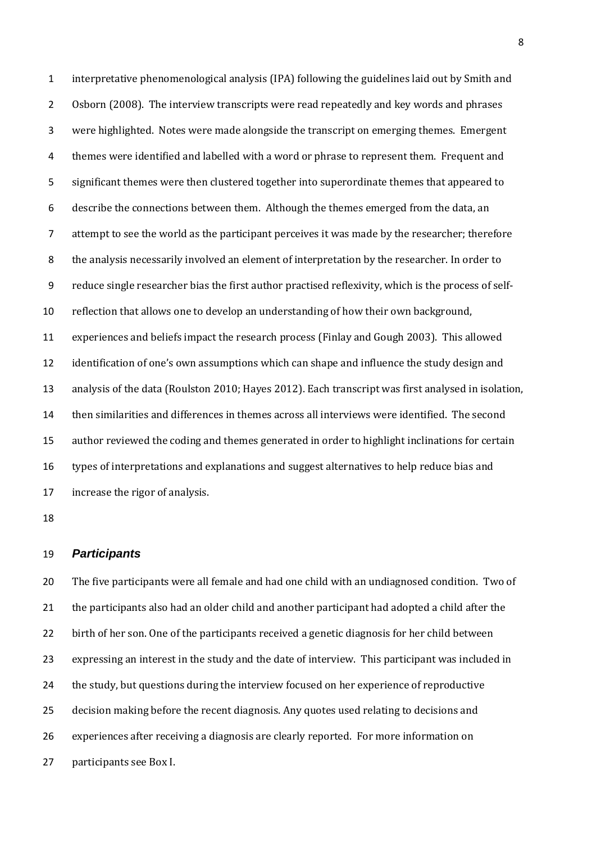interpretative phenomenological analysis (IPA) following the guidelines laid out by Smith and Osborn (2008). The interview transcripts were read repeatedly and key words and phrases were highlighted. Notes were made alongside the transcript on emerging themes. Emergent themes were identified and labelled with a word or phrase to represent them. Frequent and significant themes were then clustered together into superordinate themes that appeared to describe the connections between them. Although the themes emerged from the data, an attempt to see the world as the participant perceives it was made by the researcher; therefore the analysis necessarily involved an element of interpretation by the researcher. In order to reduce single researcher bias the first author practised reflexivity, which is the process of self- reflection that allows one to develop an understanding of how their own background, experiences and beliefs impact the research process (Finlay and Gough 2003). This allowed 12 identification of one's own assumptions which can shape and influence the study design and analysis of the data (Roulston 2010; Hayes 2012). Each transcript was first analysed in isolation, then similarities and differences in themes across all interviews were identified. The second author reviewed the coding and themes generated in order to highlight inclinations for certain types of interpretations and explanations and suggest alternatives to help reduce bias and increase the rigor of analysis.

#### **Participants**

 The five participants were all female and had one child with an undiagnosed condition. Two of 21 the participants also had an older child and another participant had adopted a child after the birth of her son. One of the participants received a genetic diagnosis for her child between expressing an interest in the study and the date of interview. This participant was included in the study, but questions during the interview focused on her experience of reproductive decision making before the recent diagnosis. Any quotes used relating to decisions and experiences after receiving a diagnosis are clearly reported. For more information on participants see Box I.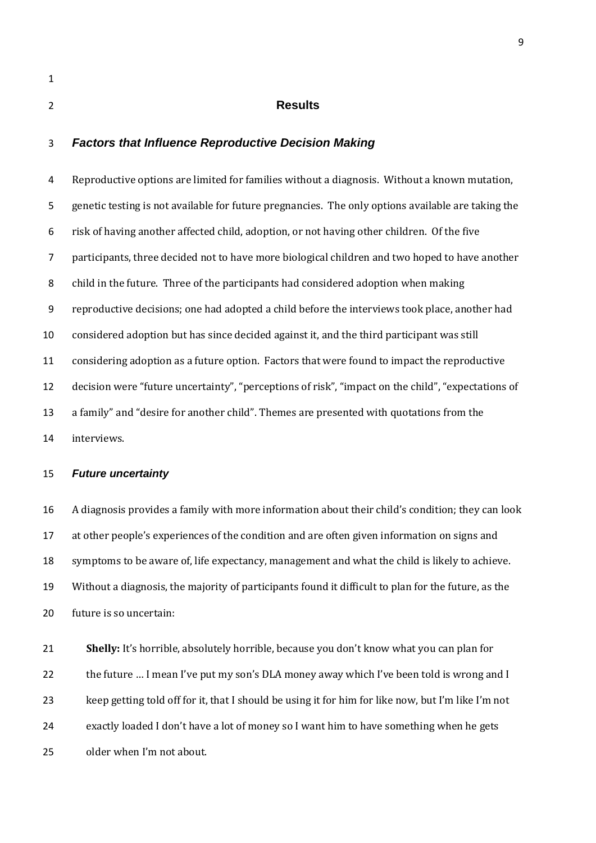#### **Results**

### **Factors that Influence Reproductive Decision Making**

Reproductive options are limited for families without a diagnosis. Without a known mutation, genetic testing is not available for future pregnancies. The only options available are taking the risk of having another affected child, adoption, or not having other children. Of the five participants, three decided not to have more biological children and two hoped to have another child in the future. Three of the participants had considered adoption when making reproductive decisions; one had adopted a child before the interviews took place, another had considered adoption but has since decided against it, and the third participant was still considering adoption as a future option. Factors that were found to impact the reproductive 12 decision were "future uncertainty", "perceptions of risk", "impact on the child", "expectations of 13 a family" and "desire for another child". Themes are presented with quotations from the interviews.

#### **Future uncertainty**

16 A diagnosis provides a family with more information about their child's condition; they can look 17 at other people's experiences of the condition and are often given information on signs and symptoms to be aware of, life expectancy, management and what the child is likely to achieve. Without a diagnosis, the majority of participants found it difficult to plan for the future, as the future is so uncertain:

**Shelly:** It's horrible, absolutely horrible, because you don't know what you can plan for 22 the future ... I mean I've put my son's DLA money away which I've been told is wrong and I 23 keep getting told off for it, that I should be using it for him for like now, but I'm like I'm not 24 exactly loaded I don't have a lot of money so I want him to have something when he gets 25 older when I'm not about.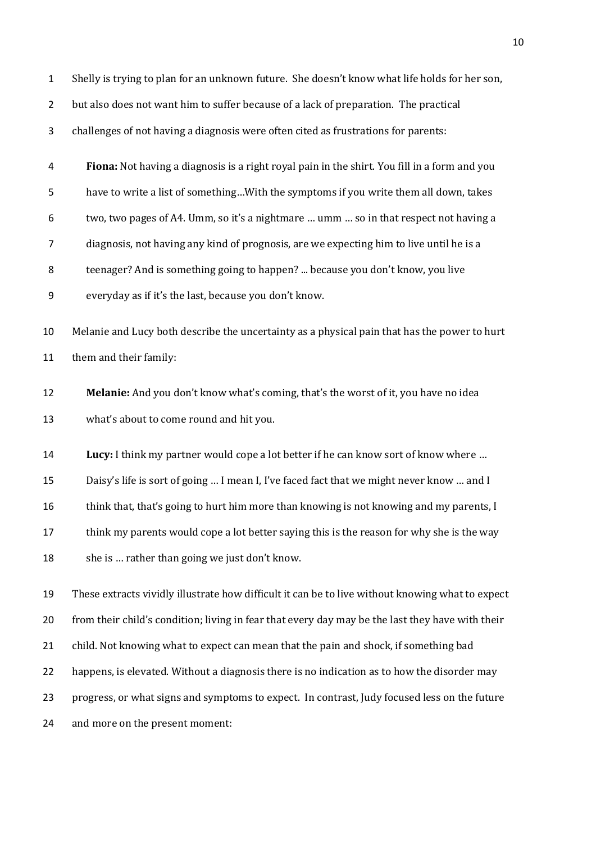| $\mathbf{1}$   | Shelly is trying to plan for an unknown future. She doesn't know what life holds for her son,                          |
|----------------|------------------------------------------------------------------------------------------------------------------------|
| $\overline{2}$ | but also does not want him to suffer because of a lack of preparation. The practical                                   |
| 3              | challenges of not having a diagnosis were often cited as frustrations for parents:                                     |
| 4              | Fiona: Not having a diagnosis is a right royal pain in the shirt. You fill in a form and you                           |
| 5              | have to write a list of somethingWith the symptoms if you write them all down, takes                                   |
| 6              | two, two pages of A4. Umm, so it's a nightmare  umm  so in that respect not having a                                   |
| $\overline{7}$ | diagnosis, not having any kind of prognosis, are we expecting him to live until he is a                                |
| 8              | teenager? And is something going to happen?  because you don't know, you live                                          |
| 9              | everyday as if it's the last, because you don't know.                                                                  |
| 10<br>11       | Melanie and Lucy both describe the uncertainty as a physical pain that has the power to hurt<br>them and their family: |
|                |                                                                                                                        |
| 12             | Melanie: And you don't know what's coming, that's the worst of it, you have no idea                                    |
| 13             | what's about to come round and hit you.                                                                                |
| 14             | Lucy: I think my partner would cope a lot better if he can know sort of know where                                     |
| 15             | Daisy's life is sort of going  I mean I, I've faced fact that we might never know  and I                               |
| 16             | think that, that's going to hurt him more than knowing is not knowing and my parents, I                                |
| 17             | think my parents would cope a lot better saying this is the reason for why she is the way                              |
| 18             | she is  rather than going we just don't know.                                                                          |
| 19             | These extracts vividly illustrate how difficult it can be to live without knowing what to expect                       |
| 20             | from their child's condition; living in fear that every day may be the last they have with their                       |
| 21             | child. Not knowing what to expect can mean that the pain and shock, if something bad                                   |
| 22             | happens, is elevated. Without a diagnosis there is no indication as to how the disorder may                            |
| 23             | progress, or what signs and symptoms to expect. In contrast, Judy focused less on the future                           |
| 24             | and more on the present moment:                                                                                        |
|                |                                                                                                                        |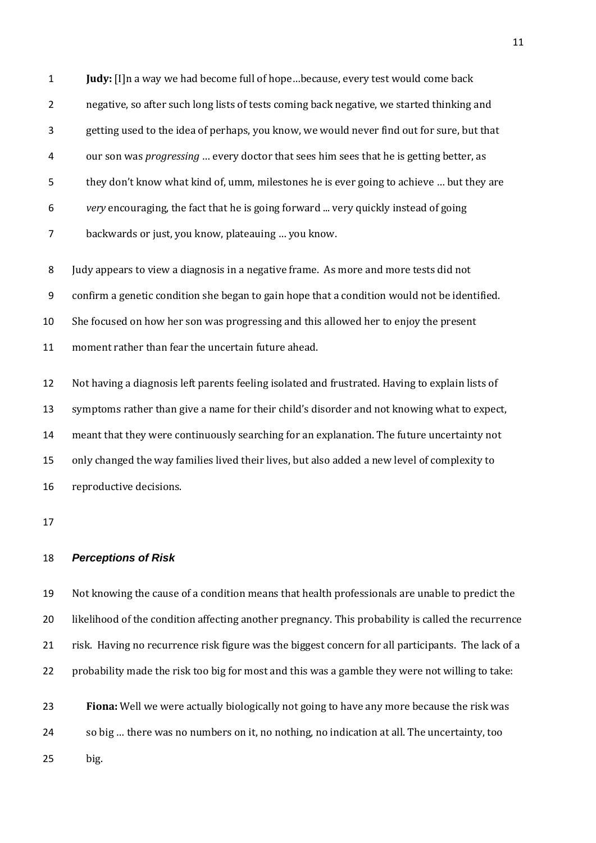**Judy:** [)]n a way we had become full of hope…because, every test would come back negative, so after such long lists of tests coming back negative, we started thinking and getting used to the idea of perhaps, you know, we would never find out for sure, but that our son was *progressing* … every doctor that sees him sees that he is getting better, as 5 they don't know what kind of, umm, milestones he is ever going to achieve ... but they are *very* encouraging, the fact that he is going forward ... very quickly instead of going backwards or just, you know, plateauing … you know.

Judy appears to view a diagnosis in a negative frame. As more and more tests did not confirm a genetic condition she began to gain hope that a condition would not be identified. She focused on how her son was progressing and this allowed her to enjoy the present moment rather than fear the uncertain future ahead.

 Not having a diagnosis left parents feeling isolated and frustrated. Having to explain lists of 13 symptoms rather than give a name for their child's disorder and not knowing what to expect, meant that they were continuously searching for an explanation. The future uncertainty not only changed the way families lived their lives, but also added a new level of complexity to reproductive decisions.

#### **Perceptions of Risk**

 Not knowing the cause of a condition means that health professionals are unable to predict the likelihood of the condition affecting another pregnancy. This probability is called the recurrence risk. Having no recurrence risk figure was the biggest concern for all participants. The lack of a probability made the risk too big for most and this was a gamble they were not willing to take:

 **Fiona:** Well we were actually biologically not going to have any more because the risk was so big … there was no numbers on it, no nothing, no indication at all. The uncertainty, too big.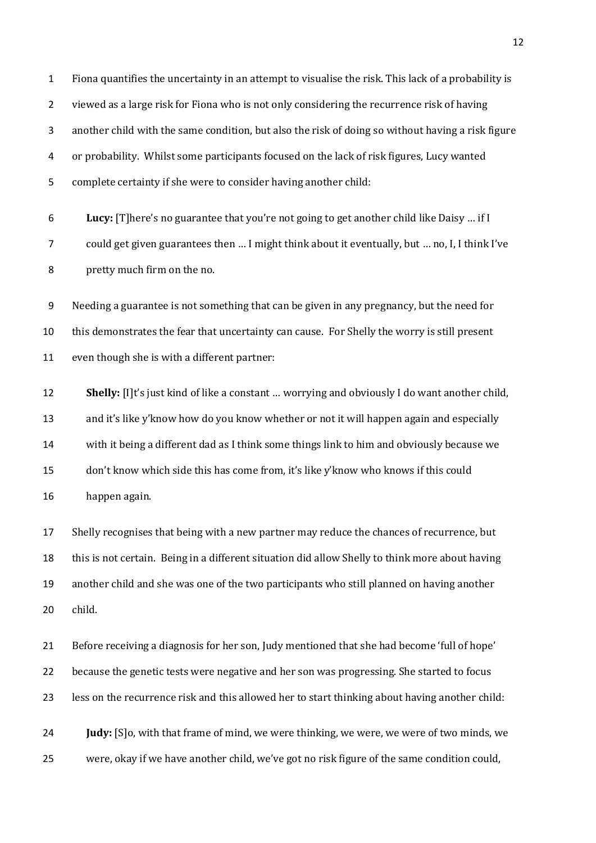Fiona quantifies the uncertainty in an attempt to visualise the risk. This lack of a probability is viewed as a large risk for Fiona who is not only considering the recurrence risk of having another child with the same condition, but also the risk of doing so without having a risk figure or probability. Whilst some participants focused on the lack of risk figures, Lucy wanted complete certainty if she were to consider having another child:

**Lucy:** [T]hereǯs no guarantee that youǯre not going to get another child like Daisy … if I 7 could get given guarantees then ... I might think about it eventually, but ... no, I, I think I've pretty much firm on the no.

Needing a guarantee is not something that can be given in any pregnancy, but the need for this demonstrates the fear that uncertainty can cause. For Shelly the worry is still present even though she is with a different partner:

**Shelly:** [I]t's just kind of like a constant ... worrying and obviously I do want another child, 13 and it's like y'know how do you know whether or not it will happen again and especially with it being a different dad as I think some things link to him and obviously because we 15 don't know which side this has come from, it's like y'know who knows if this could happen again.

 Shelly recognises that being with a new partner may reduce the chances of recurrence, but this is not certain. Being in a different situation did allow Shelly to think more about having another child and she was one of the two participants who still planned on having another child.

21 Before receiving a diagnosis for her son, Judy mentioned that she had become 'full of hope' because the genetic tests were negative and her son was progressing. She started to focus less on the recurrence risk and this allowed her to start thinking about having another child: **Judy:** [S]o, with that frame of mind, we were thinking, we were, we were of two minds, we 25 were, okay if we have another child, we've got no risk figure of the same condition could,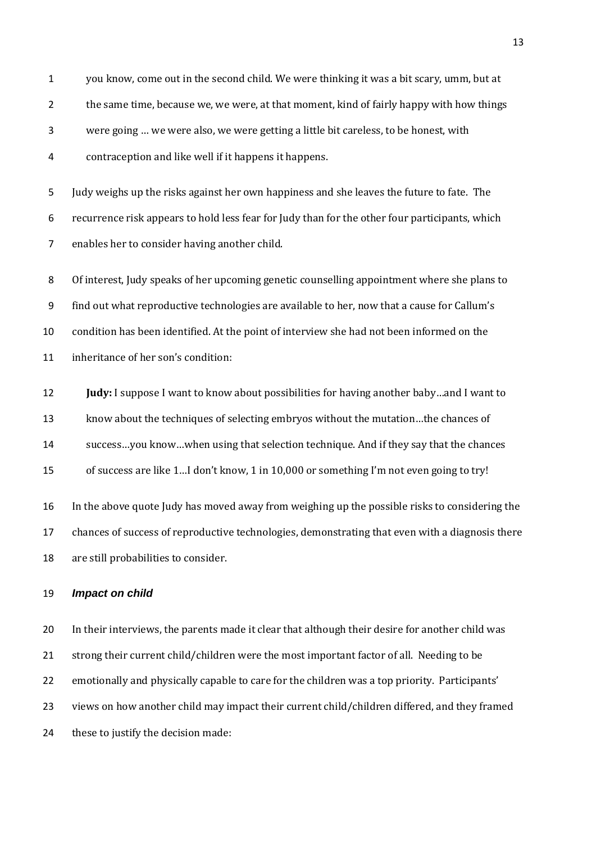you know, come out in the second child. We were thinking it was a bit scary, umm, but at the same time, because we, we were, at that moment, kind of fairly happy with how things were going … we were also, we were getting a little bit careless, to be honest, with contraception and like well if it happens it happens.

Judy weighs up the risks against her own happiness and she leaves the future to fate. The recurrence risk appears to hold less fear for Judy than for the other four participants, which enables her to consider having another child.

Of interest, Judy speaks of her upcoming genetic counselling appointment where she plans to 9 find out what reproductive technologies are available to her, now that a cause for Callum's condition has been identified. At the point of interview she had not been informed on the 11 inheritance of her son's condition:

**Judy:** I suppose I want to know about possibilities for having another baby...and I want to know about the techniques of selecting embryos without the mutation…the chances of success…you know…when using that selection technique. And if they say that the chances 15 of success are like 1...I don't know, 1 in 10,000 or something I'm not even going to try! In the above quote Judy has moved away from weighing up the possible risks to considering the chances of success of reproductive technologies, demonstrating that even with a diagnosis there are still probabilities to consider.

#### **Impact on child**

 In their interviews, the parents made it clear that although their desire for another child was strong their current child/children were the most important factor of all. Needing to be 22 emotionally and physically capable to care for the children was a top priority. Participants' views on how another child may impact their current child/children differed, and they framed 24 these to justify the decision made: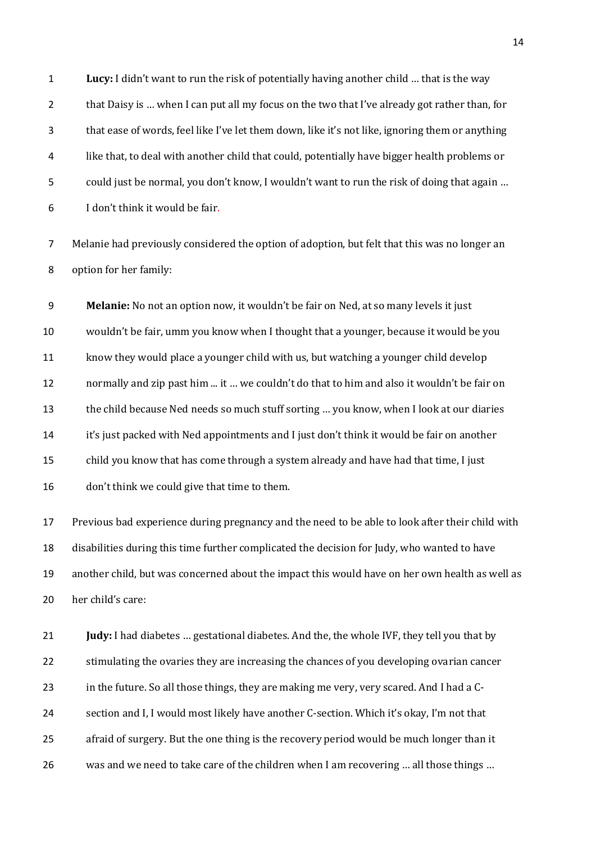**Lucy:** I didn't want to run the risk of potentially having another child ... that is the way 2 that Daisy is ... when I can put all my focus on the two that I've already got rather than, for 3 that ease of words, feel like I've let them down, like it's not like, ignoring them or anything like that, to deal with another child that could, potentially have bigger health problems or 5 could just be normal, you don't know, I wouldn't want to run the risk of doing that again ... 6 I don't think it would be fair.

Melanie had previously considered the option of adoption, but felt that this was no longer an option for her family:

**Melanie:** No not an option now, it wouldn't be fair on Ned, at so many levels it just wouldnǯt be fair, umm you know when I thought that a younger, because it would be you know they would place a younger child with us, but watching a younger child develop 12 normally and zip past him ... it ... we couldn't do that to him and also it wouldn't be fair on the child because Ned needs so much stuff sorting … you know, when I look at our diaries 14 it's just packed with Ned appointments and I just don't think it would be fair on another child you know that has come through a system already and have had that time, I just 16 don't think we could give that time to them.

 Previous bad experience during pregnancy and the need to be able to look after their child with disabilities during this time further complicated the decision for Judy, who wanted to have another child, but was concerned about the impact this would have on her own health as well as 20 her child's care:

 **Judy:** I had diabetes … gestational diabetes. And the, the whole IVF, they tell you that by stimulating the ovaries they are increasing the chances of you developing ovarian cancer in the future. So all those things, they are making me very, very scared. And I had a C-24 section and I, I would most likely have another C-section. Which it's okay, I'm not that afraid of surgery. But the one thing is the recovery period would be much longer than it was and we need to take care of the children when I am recovering … all those things …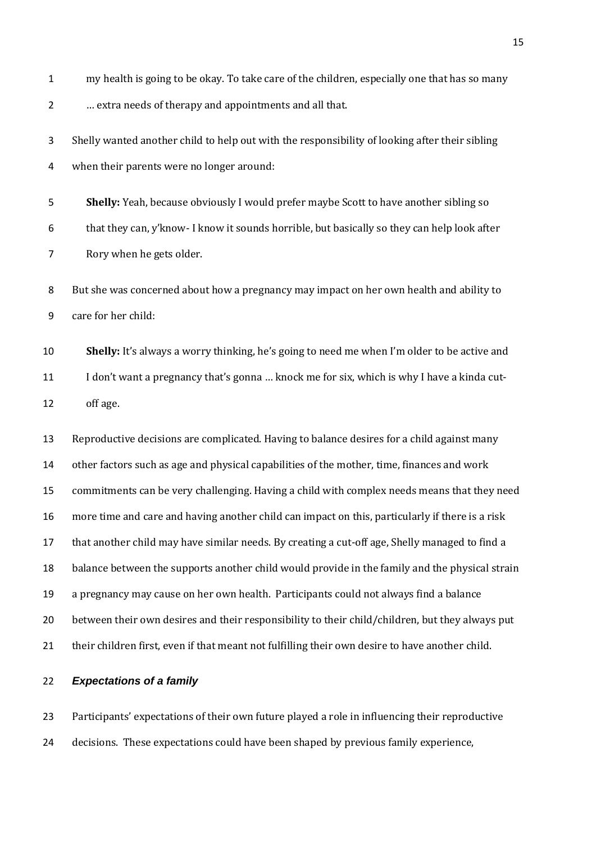my health is going to be okay. To take care of the children, especially one that has so many

… extra needs of therapy and appointments and all that.

Shelly wanted another child to help out with the responsibility of looking after their sibling when their parents were no longer around:

**Shelly:** Yeah, because obviously I would prefer maybe Scott to have another sibling so 6 that they can, y'know- I know it sounds horrible, but basically so they can help look after Rory when he gets older.

But she was concerned about how a pregnancy may impact on her own health and ability to care for her child:

**Shelly:** It's always a worry thinking, he's going to need me when I'm older to be active and 11 I don't want a pregnancy that's gonna ... knock me for six, which is why I have a kinda cut-off age.

 Reproductive decisions are complicated. Having to balance desires for a child against many other factors such as age and physical capabilities of the mother, time, finances and work commitments can be very challenging. Having a child with complex needs means that they need more time and care and having another child can impact on this, particularly if there is a risk that another child may have similar needs. By creating a cut-off age, Shelly managed to find a balance between the supports another child would provide in the family and the physical strain a pregnancy may cause on her own health. Participants could not always find a balance between their own desires and their responsibility to their child/children, but they always put their children first, even if that meant not fulfilling their own desire to have another child.

#### **Expectations of a family**

23 Participants' expectations of their own future played a role in influencing their reproductive decisions. These expectations could have been shaped by previous family experience,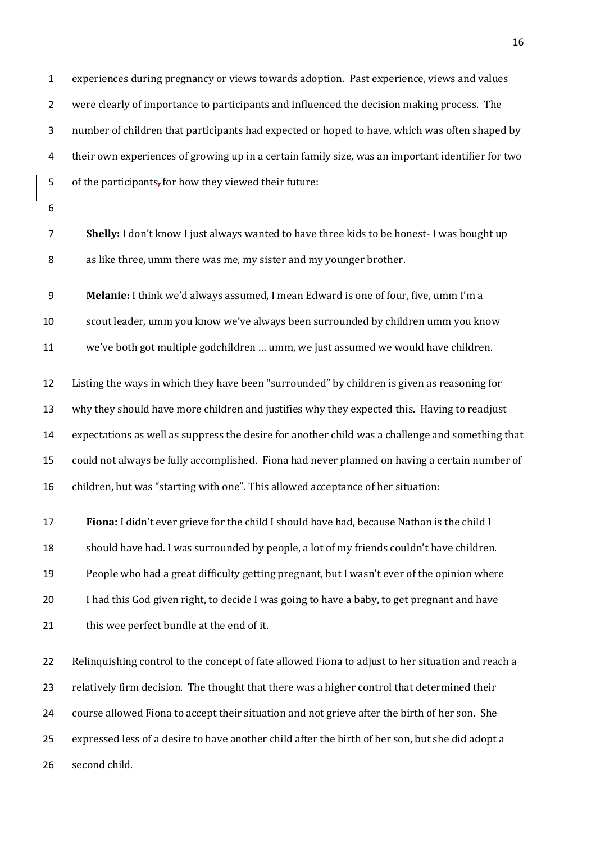experiences during pregnancy or views towards adoption. Past experience, views and values were clearly of importance to participants and influenced the decision making process. The number of children that participants had expected or hoped to have, which was often shaped by their own experiences of growing up in a certain family size, was an important identifier for two 5 of the participants, for how they viewed their future:

**Shelly:** I don't know I just always wanted to have three kids to be honest- I was bought up as like three, umm there was me, my sister and my younger brother.

**Melanie:** I think we'd always assumed, I mean Edward is one of four, five, umm I'm a 10 scout leader, umm you know we've always been surrounded by children umm you know

weǯve both got multiple godchildren … umm, we just assumed we would have children.

12 Listing the ways in which they have been "surrounded" by children is given as reasoning for why they should have more children and justifies why they expected this. Having to readjust expectations as well as suppress the desire for another child was a challenge and something that could not always be fully accomplished. Fiona had never planned on having a certain number of 16 children, but was "starting with one". This allowed acceptance of her situation:

**Fiona:** I didn't ever grieve for the child I should have had, because Nathan is the child I 18 should have had. I was surrounded by people, a lot of my friends couldn't have children. 19 People who had a great difficulty getting pregnant, but I wasn't ever of the opinion where I had this God given right, to decide I was going to have a baby, to get pregnant and have 21 this wee perfect bundle at the end of it.

 Relinquishing control to the concept of fate allowed Fiona to adjust to her situation and reach a 23 relatively firm decision. The thought that there was a higher control that determined their course allowed Fiona to accept their situation and not grieve after the birth of her son. She expressed less of a desire to have another child after the birth of her son, but she did adopt a second child.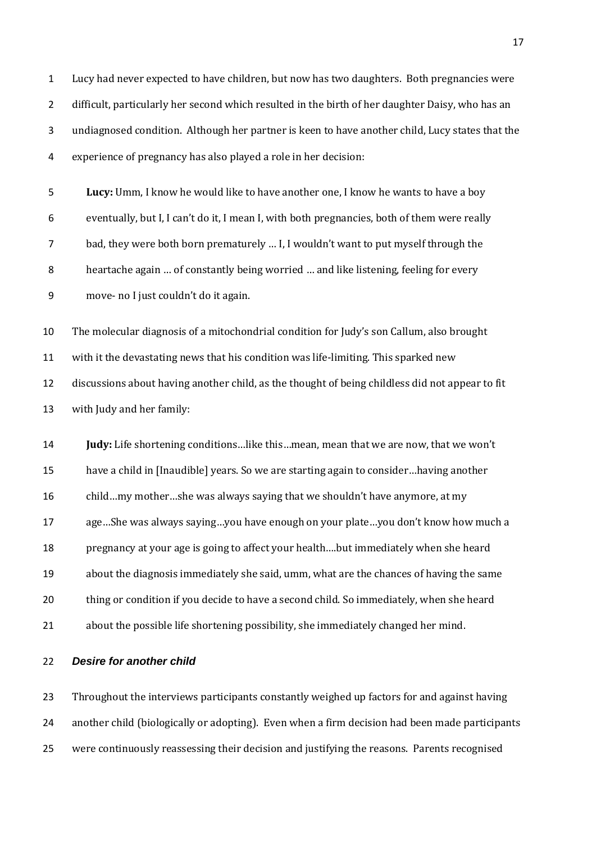Lucy had never expected to have children, but now has two daughters. Both pregnancies were difficult, particularly her second which resulted in the birth of her daughter Daisy, who has an undiagnosed condition. Although her partner is keen to have another child, Lucy states that the experience of pregnancy has also played a role in her decision:

**Lucy:** Umm, I know he would like to have another one, I know he wants to have a boy 6 eventually, but I, I can't do it, I mean I, with both pregnancies, both of them were really 7 bad, they were both born prematurely ... I, I wouldn't want to put myself through the heartache again … of constantly being worried … and like listening, feeling for every 9 move- no I just couldn't do it again.

10 The molecular diagnosis of a mitochondrial condition for Judy's son Callum, also brought with it the devastating news that his condition was life-limiting. This sparked new discussions about having another child, as the thought of being childless did not appear to fit with Judy and her family:

**Judy:** Life shortening conditions...like this ... mean, mean that we are now, that we won't 15 have a child in [Inaudible] years. So we are starting again to consider...having another 16 child…my mother…she was always saying that we shouldn't have anymore, at my 17 age…She was always saying…you have enough on your plate…you don't know how much a pregnancy at your age is going to affect your health….but immediately when she heard about the diagnosis immediately she said, umm, what are the chances of having the same thing or condition if you decide to have a second child. So immediately, when she heard about the possible life shortening possibility, she immediately changed her mind.

**Desire for another child** 

 Throughout the interviews participants constantly weighed up factors for and against having another child (biologically or adopting). Even when a firm decision had been made participants were continuously reassessing their decision and justifying the reasons. Parents recognised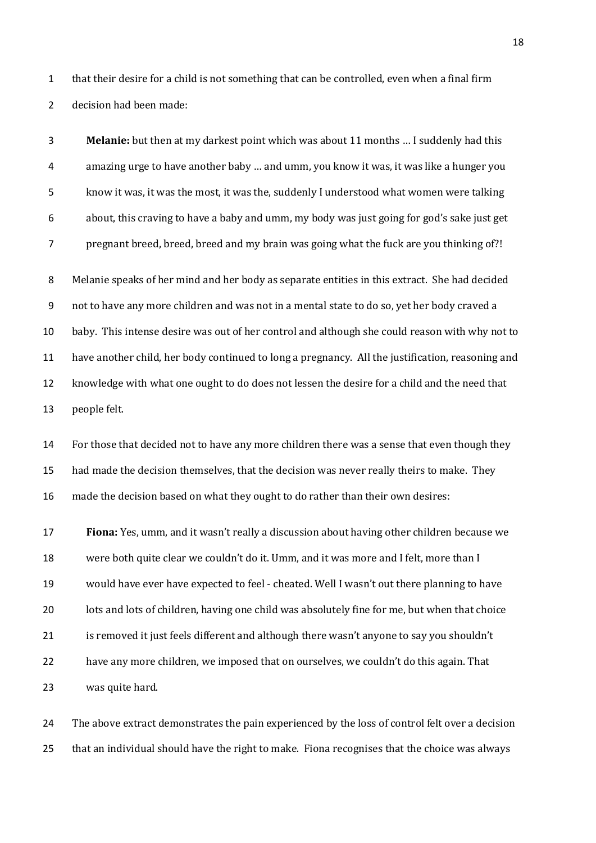that their desire for a child is not something that can be controlled, even when a final firm decision had been made:

**Melanie:** but then at my darkest point which was about 11 months … I suddenly had this amazing urge to have another baby … and umm, you know it was, it was like a hunger you know it was, it was the most, it was the, suddenly I understood what women were talking 6 about, this craving to have a baby and umm, my body was just going for god's sake just get pregnant breed, breed, breed and my brain was going what the fuck are you thinking of?!

Melanie speaks of her mind and her body as separate entities in this extract. She had decided not to have any more children and was not in a mental state to do so, yet her body craved a baby. This intense desire was out of her control and although she could reason with why not to have another child, her body continued to long a pregnancy. All the justification, reasoning and knowledge with what one ought to do does not lessen the desire for a child and the need that people felt.

14 For those that decided not to have any more children there was a sense that even though they 15 had made the decision themselves, that the decision was never really theirs to make. They made the decision based on what they ought to do rather than their own desires:

**Fiona:** Yes, umm, and it wasn't really a discussion about having other children because we 18 were both quite clear we couldn't do it. Umm, and it was more and I felt, more than I 19 would have ever have expected to feel - cheated. Well I wasn't out there planning to have lots and lots of children, having one child was absolutely fine for me, but when that choice 21 is removed it just feels different and although there wasn't anyone to say you shouldn't 22 have any more children, we imposed that on ourselves, we couldn't do this again. That was quite hard.

24 The above extract demonstrates the pain experienced by the loss of control felt over a decision that an individual should have the right to make. Fiona recognises that the choice was always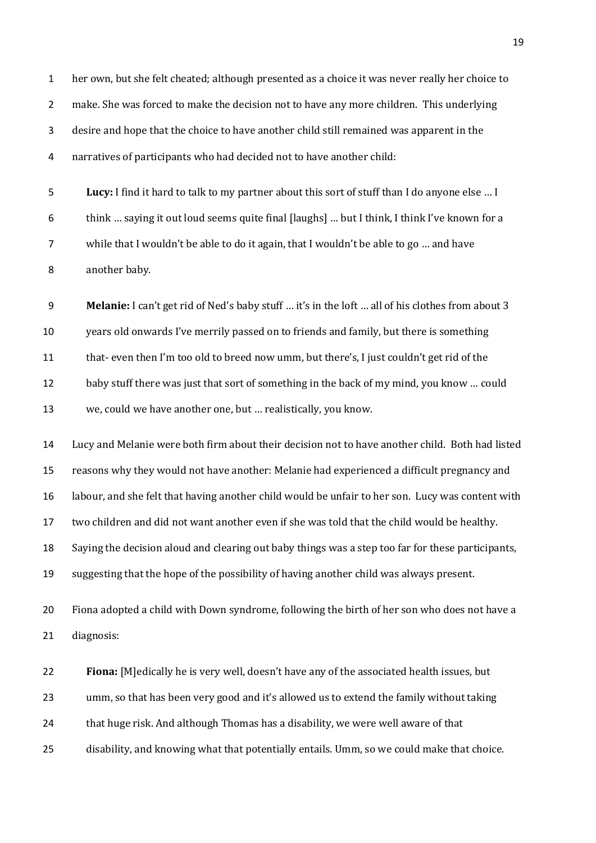her own, but she felt cheated; although presented as a choice it was never really her choice to make. She was forced to make the decision not to have any more children. This underlying desire and hope that the choice to have another child still remained was apparent in the narratives of participants who had decided not to have another child:

**Lucy:** I find it hard to talk to my partner about this sort of stuff than I do anyone else … I 6 think … saying it out loud seems quite final [laughs] … but I think, I think I've known for a 7 while that I wouldn't be able to do it again, that I wouldn't be able to go ... and have another baby.

**Melanie:** I can't get rid of Ned's baby stuff ... it's in the loft ... all of his clothes from about 3 10 years old onwards I've merrily passed on to friends and family, but there is something 11 that- even then I'm too old to breed now umm, but there's, I just couldn't get rid of the baby stuff there was just that sort of something in the back of my mind, you know … could we, could we have another one, but … realistically, you know.

 Lucy and Melanie were both firm about their decision not to have another child. Both had listed reasons why they would not have another: Melanie had experienced a difficult pregnancy and labour, and she felt that having another child would be unfair to her son. Lucy was content with two children and did not want another even if she was told that the child would be healthy. Saying the decision aloud and clearing out baby things was a step too far for these participants, suggesting that the hope of the possibility of having another child was always present.

 Fiona adopted a child with Down syndrome, following the birth of her son who does not have a diagnosis:

**Fiona:** [M]edically he is very well, doesn't have any of the associated health issues, but 23 umm, so that has been very good and it's allowed us to extend the family without taking that huge risk. And although Thomas has a disability, we were well aware of that disability, and knowing what that potentially entails. Umm, so we could make that choice.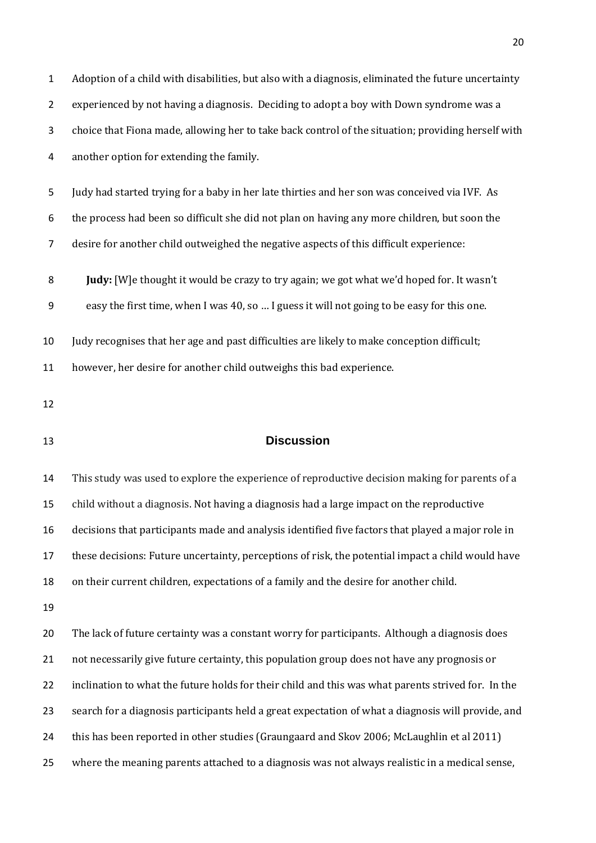| $\mathbf{1}$   | Adoption of a child with disabilities, but also with a diagnosis, eliminated the future uncertainty |
|----------------|-----------------------------------------------------------------------------------------------------|
| $\overline{2}$ | experienced by not having a diagnosis. Deciding to adopt a boy with Down syndrome was a             |
| 3              | choice that Fiona made, allowing her to take back control of the situation; providing herself with  |
| 4              | another option for extending the family.                                                            |
| 5              | Judy had started trying for a baby in her late thirties and her son was conceived via IVF. As       |
| 6              | the process had been so difficult she did not plan on having any more children, but soon the        |
| $\overline{7}$ | desire for another child outweighed the negative aspects of this difficult experience:              |
| 8              | <b>Judy:</b> [W]e thought it would be crazy to try again; we got what we'd hoped for. It wasn't     |
| 9              | easy the first time, when I was 40, so  I guess it will not going to be easy for this one.          |
| $10\,$         | Judy recognises that her age and past difficulties are likely to make conception difficult;         |
| 11             | however, her desire for another child outweighs this bad experience.                                |
| 12             |                                                                                                     |
|                |                                                                                                     |
| 13             | <b>Discussion</b>                                                                                   |
| 14             | This study was used to explore the experience of reproductive decision making for parents of a      |
|                | child without a diagnosis. Not having a diagnosis had a large impact on the reproductive            |
| 15<br>16       | decisions that participants made and analysis identified five factors that played a major role in   |
| 17             | these decisions: Future uncertainty, perceptions of risk, the potential impact a child would have   |
| 18             | on their current children, expectations of a family and the desire for another child.               |
| 19             |                                                                                                     |
| 20             | The lack of future certainty was a constant worry for participants. Although a diagnosis does       |
| 21             | not necessarily give future certainty, this population group does not have any prognosis or         |
| 22             | inclination to what the future holds for their child and this was what parents strived for. In the  |
| 23             | search for a diagnosis participants held a great expectation of what a diagnosis will provide, and  |

- 24 this has been reported in other studies (Graungaard and Skov 2006; McLaughlin et al 2011)
- where the meaning parents attached to a diagnosis was not always realistic in a medical sense,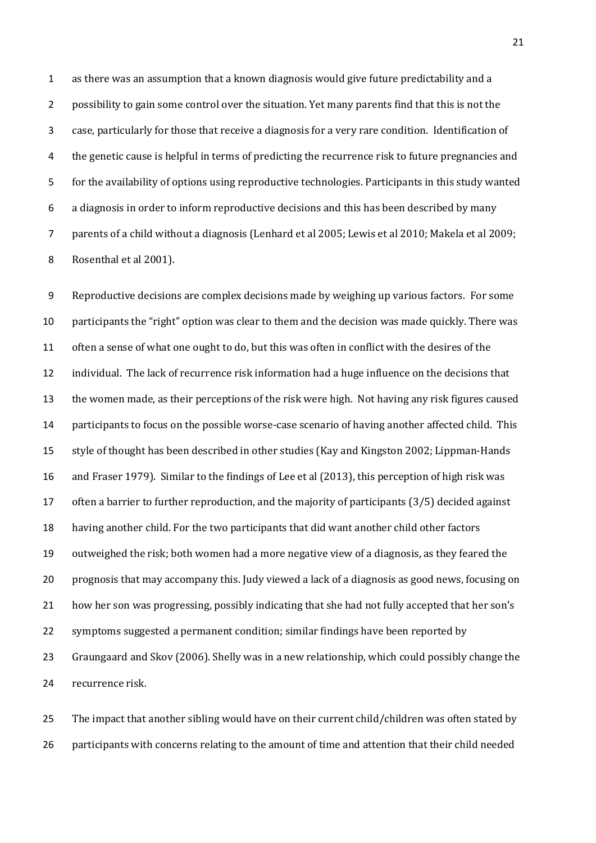as there was an assumption that a known diagnosis would give future predictability and a possibility to gain some control over the situation. Yet many parents find that this is not the case, particularly for those that receive a diagnosis for a very rare condition. Identification of the genetic cause is helpful in terms of predicting the recurrence risk to future pregnancies and for the availability of options using reproductive technologies. Participants in this study wanted a diagnosis in order to inform reproductive decisions and this has been described by many parents of a child without a diagnosis (Lenhard et al 2005; Lewis et al 2010; Makela et al 2009; Rosenthal et al 2001).

Reproductive decisions are complex decisions made by weighing up various factors. For some 10 participants the "right" option was clear to them and the decision was made quickly. There was often a sense of what one ought to do, but this was often in conflict with the desires of the individual. The lack of recurrence risk information had a huge influence on the decisions that the women made, as their perceptions of the risk were high. Not having any risk figures caused participants to focus on the possible worse-case scenario of having another affected child. This style of thought has been described in other studies (Kay and Kingston 2002; Lippman-Hands and Fraser 1979). Similar to the findings of Lee et al (2013), this perception of high risk was often a barrier to further reproduction, and the majority of participants (3/5) decided against having another child. For the two participants that did want another child other factors outweighed the risk; both women had a more negative view of a diagnosis, as they feared the prognosis that may accompany this. Judy viewed a lack of a diagnosis as good news, focusing on 21 how her son was progressing, possibly indicating that she had not fully accepted that her son's symptoms suggested a permanent condition; similar findings have been reported by Graungaard and Skov (2006). Shelly was in a new relationship, which could possibly change the recurrence risk.

 The impact that another sibling would have on their current child/children was often stated by participants with concerns relating to the amount of time and attention that their child needed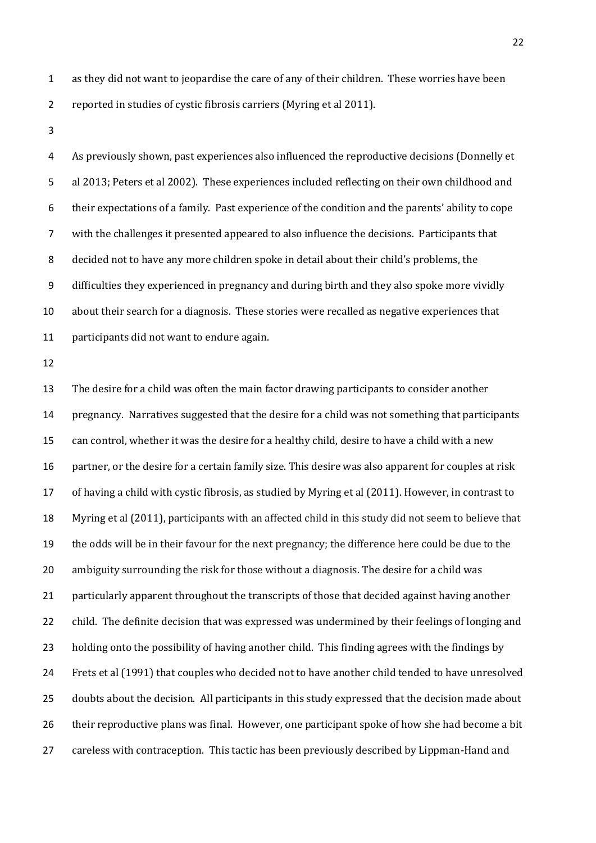as they did not want to jeopardise the care of any of their children. These worries have been reported in studies of cystic fibrosis carriers (Myring et al 2011).

As previously shown, past experiences also influenced the reproductive decisions (Donnelly et al 2013; Peters et al 2002). These experiences included reflecting on their own childhood and their expectations of a family. Past experience of the condition and the parentsǯ ability to cope with the challenges it presented appeared to also influence the decisions. Participants that 8 decided not to have any more children spoke in detail about their child's problems, the difficulties they experienced in pregnancy and during birth and they also spoke more vividly about their search for a diagnosis. These stories were recalled as negative experiences that participants did not want to endure again.

 The desire for a child was often the main factor drawing participants to consider another pregnancy. Narratives suggested that the desire for a child was not something that participants can control, whether it was the desire for a healthy child, desire to have a child with a new partner, or the desire for a certain family size. This desire was also apparent for couples at risk of having a child with cystic fibrosis, as studied by Myring et al (2011). However, in contrast to Myring et al (2011), participants with an affected child in this study did not seem to believe that the odds will be in their favour for the next pregnancy; the difference here could be due to the ambiguity surrounding the risk for those without a diagnosis. The desire for a child was particularly apparent throughout the transcripts of those that decided against having another child. The definite decision that was expressed was undermined by their feelings of longing and holding onto the possibility of having another child. This finding agrees with the findings by Frets et al (1991) that couples who decided not to have another child tended to have unresolved doubts about the decision. All participants in this study expressed that the decision made about their reproductive plans was final. However, one participant spoke of how she had become a bit careless with contraception. This tactic has been previously described by Lippman-Hand and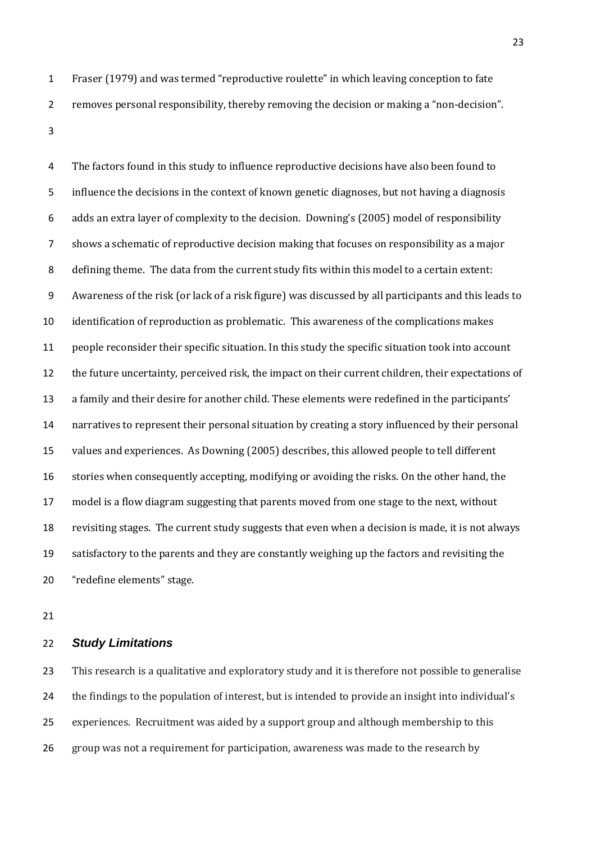- 1 Fraser (1979) and was termed "reproductive roulette" in which leaving conception to fate 2 removes personal responsibility, thereby removing the decision or making a "non-decision".
- 

The factors found in this study to influence reproductive decisions have also been found to influence the decisions in the context of known genetic diagnoses, but not having a diagnosis 6 adds an extra layer of complexity to the decision. Downing's (2005) model of responsibility shows a schematic of reproductive decision making that focuses on responsibility as a major defining theme. The data from the current study fits within this model to a certain extent: Awareness of the risk (or lack of a risk figure) was discussed by all participants and this leads to identification of reproduction as problematic. This awareness of the complications makes people reconsider their specific situation. In this study the specific situation took into account the future uncertainty, perceived risk, the impact on their current children, their expectations of 13 a family and their desire for another child. These elements were redefined in the participants' narratives to represent their personal situation by creating a story influenced by their personal values and experiences. As Downing (2005) describes, this allowed people to tell different stories when consequently accepting, modifying or avoiding the risks. On the other hand, the model is a flow diagram suggesting that parents moved from one stage to the next, without revisiting stages. The current study suggests that even when a decision is made, it is not always satisfactory to the parents and they are constantly weighing up the factors and revisiting the 20 "redefine elements" stage.

#### **Study Limitations**

 This research is a qualitative and exploratory study and it is therefore not possible to generalise 24 the findings to the population of interest, but is intended to provide an insight into individual's experiences. Recruitment was aided by a support group and although membership to this group was not a requirement for participation, awareness was made to the research by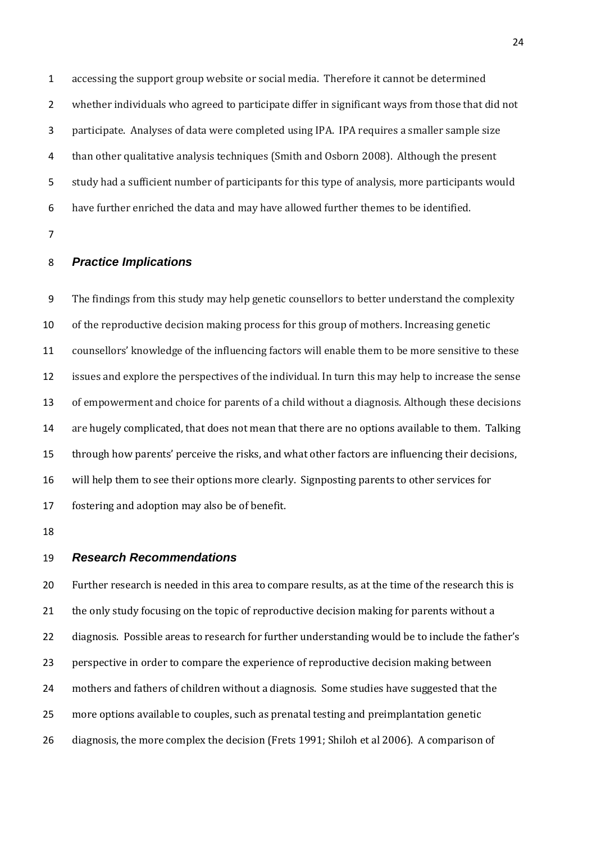accessing the support group website or social media. Therefore it cannot be determined whether individuals who agreed to participate differ in significant ways from those that did not participate. Analyses of data were completed using IPA. IPA requires a smaller sample size than other qualitative analysis techniques (Smith and Osborn 2008). Although the present study had a sufficient number of participants for this type of analysis, more participants would have further enriched the data and may have allowed further themes to be identified.

#### **Practice Implications**

9 The findings from this study may help genetic counsellors to better understand the complexity of the reproductive decision making process for this group of mothers. Increasing genetic 11 counsellors' knowledge of the influencing factors will enable them to be more sensitive to these issues and explore the perspectives of the individual. In turn this may help to increase the sense of empowerment and choice for parents of a child without a diagnosis. Although these decisions are hugely complicated, that does not mean that there are no options available to them. Talking 15 through how parents' perceive the risks, and what other factors are influencing their decisions, will help them to see their options more clearly. Signposting parents to other services for fostering and adoption may also be of benefit.

#### **Research Recommendations**

 Further research is needed in this area to compare results, as at the time of the research this is 21 the only study focusing on the topic of reproductive decision making for parents without a 22 diagnosis. Possible areas to research for further understanding would be to include the father's perspective in order to compare the experience of reproductive decision making between mothers and fathers of children without a diagnosis. Some studies have suggested that the more options available to couples, such as prenatal testing and preimplantation genetic diagnosis, the more complex the decision (Frets 1991; Shiloh et al 2006). A comparison of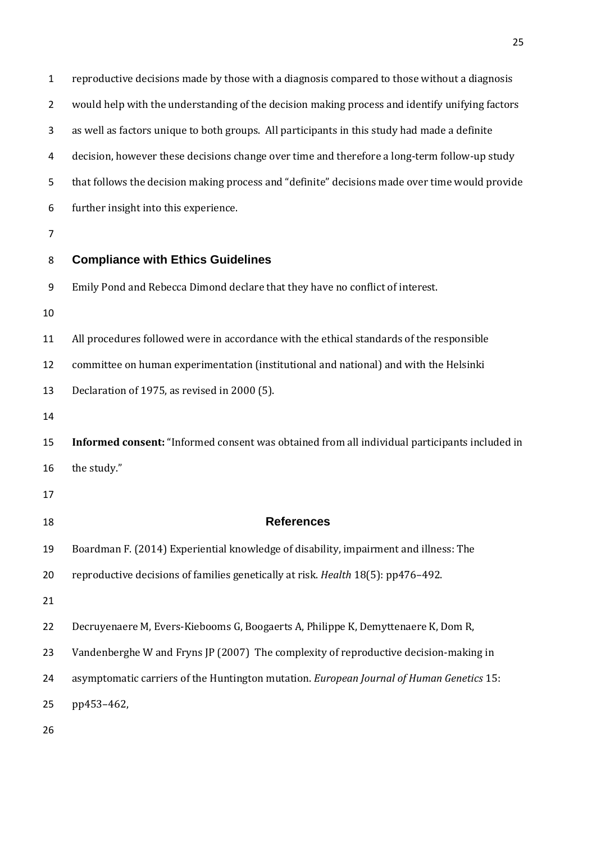| $\mathbf 1$    | reproductive decisions made by those with a diagnosis compared to those without a diagnosis    |
|----------------|------------------------------------------------------------------------------------------------|
| $\overline{2}$ | would help with the understanding of the decision making process and identify unifying factors |
| 3              | as well as factors unique to both groups. All participants in this study had made a definite   |
| 4              | decision, however these decisions change over time and therefore a long-term follow-up study   |
| 5              | that follows the decision making process and "definite" decisions made over time would provide |
| 6              | further insight into this experience.                                                          |
| $\overline{7}$ |                                                                                                |
| 8              | <b>Compliance with Ethics Guidelines</b>                                                       |
| 9              | Emily Pond and Rebecca Dimond declare that they have no conflict of interest.                  |
| 10             |                                                                                                |
| $11\,$         | All procedures followed were in accordance with the ethical standards of the responsible       |
| 12             | committee on human experimentation (institutional and national) and with the Helsinki          |
| 13             | Declaration of 1975, as revised in 2000 (5).                                                   |
| 14             |                                                                                                |
| 15             | Informed consent: "Informed consent was obtained from all individual participants included in  |
| 16             | the study."                                                                                    |
| 17             |                                                                                                |
| 18             | <b>References</b>                                                                              |
| 19             | Boardman F. (2014) Experiential knowledge of disability, impairment and illness: The           |
| 20             | reproductive decisions of families genetically at risk. Health 18(5): pp476-492.               |
| 21             |                                                                                                |
| 22             | Decruyenaere M, Evers-Kiebooms G, Boogaerts A, Philippe K, Demyttenaere K, Dom R,              |
| 23             | Vandenberghe W and Fryns JP (2007) The complexity of reproductive decision-making in           |
| 24             | asymptomatic carriers of the Huntington mutation. European Journal of Human Genetics 15:       |
| 25             | pp453-462,                                                                                     |
| 26             |                                                                                                |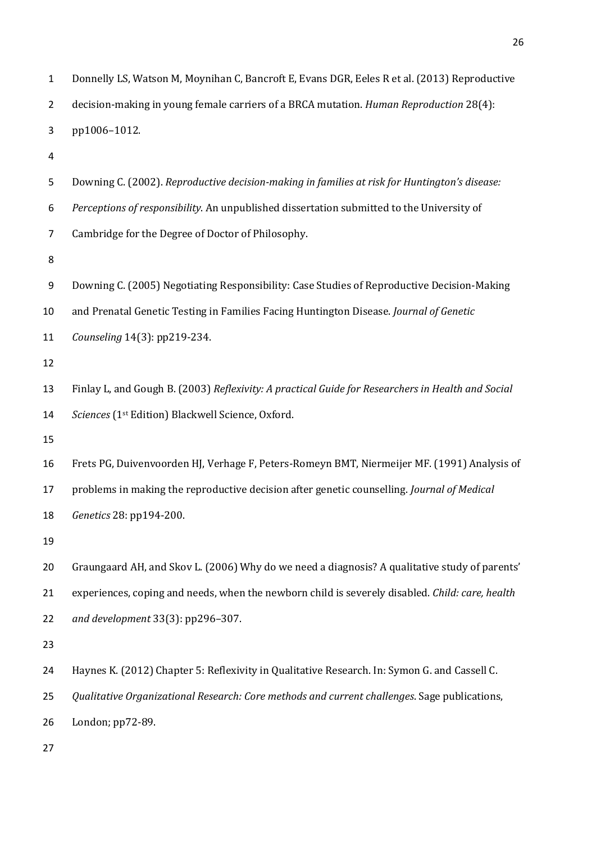| $\mathbf{1}$   | Donnelly LS, Watson M, Moynihan C, Bancroft E, Evans DGR, Eeles R et al. (2013) Reproductive      |
|----------------|---------------------------------------------------------------------------------------------------|
| $\overline{2}$ | decision-making in young female carriers of a BRCA mutation. Human Reproduction 28(4):            |
| 3              | pp1006-1012.                                                                                      |
| 4              |                                                                                                   |
| 5              | Downing C. (2002). Reproductive decision-making in families at risk for Huntington's disease:     |
| 6              | Perceptions of responsibility. An unpublished dissertation submitted to the University of         |
| $\overline{7}$ | Cambridge for the Degree of Doctor of Philosophy.                                                 |
| 8              |                                                                                                   |
| 9              | Downing C. (2005) Negotiating Responsibility: Case Studies of Reproductive Decision-Making        |
| 10             | and Prenatal Genetic Testing in Families Facing Huntington Disease. Journal of Genetic            |
| 11             | Counseling 14(3): pp219-234.                                                                      |
| 12             |                                                                                                   |
| 13             | Finlay L, and Gough B. (2003) Reflexivity: A practical Guide for Researchers in Health and Social |
| 14             | Sciences (1st Edition) Blackwell Science, Oxford.                                                 |
| 15             |                                                                                                   |
| 16             | Frets PG, Duivenvoorden HJ, Verhage F, Peters-Romeyn BMT, Niermeijer MF. (1991) Analysis of       |
| 17             | problems in making the reproductive decision after genetic counselling. Journal of Medical        |
| 18             | Genetics 28: pp194-200.                                                                           |
| 19             |                                                                                                   |
| 20             | Graungaard AH, and Skov L. (2006) Why do we need a diagnosis? A qualitative study of parents'     |
| 21             | experiences, coping and needs, when the newborn child is severely disabled. Child: care, health   |
| 22             | and development 33(3): pp296-307.                                                                 |
| 23             |                                                                                                   |
| 24             | Haynes K. (2012) Chapter 5: Reflexivity in Qualitative Research. In: Symon G. and Cassell C.      |
| 25             | Qualitative Organizational Research: Core methods and current challenges. Sage publications,      |
| 26             | London; pp72-89.                                                                                  |
|                |                                                                                                   |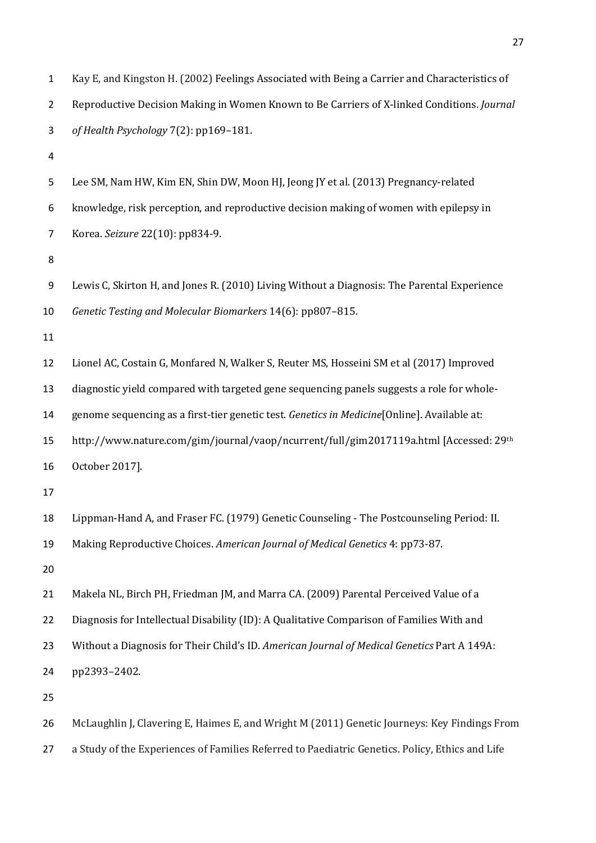| $\mathbf 1$    | Kay E, and Kingston H. (2002) Feelings Associated with Being a Carrier and Characteristics of   |
|----------------|-------------------------------------------------------------------------------------------------|
| $\overline{2}$ | Reproductive Decision Making in Women Known to Be Carriers of X-linked Conditions. Journal      |
| 3              | of Health Psychology 7(2): pp169-181.                                                           |
| $\pmb{4}$      |                                                                                                 |
| 5              | Lee SM, Nam HW, Kim EN, Shin DW, Moon HJ, Jeong JY et al. (2013) Pregnancy-related              |
| 6              | knowledge, risk perception, and reproductive decision making of women with epilepsy in          |
| 7              | Korea. Seizure 22(10): pp834-9.                                                                 |
| 8              |                                                                                                 |
| 9              | Lewis C, Skirton H, and Jones R. (2010) Living Without a Diagnosis: The Parental Experience     |
| 10             | Genetic Testing and Molecular Biomarkers 14(6): pp807-815.                                      |
| 11             |                                                                                                 |
| 12             | Lionel AC, Costain G, Monfared N, Walker S, Reuter MS, Hosseini SM et al (2017) Improved        |
| 13             | diagnostic yield compared with targeted gene sequencing panels suggests a role for whole-       |
| 14             | genome sequencing as a first-tier genetic test. Genetics in Medicine[Online]. Available at:     |
| 15             | http://www.nature.com/gim/journal/vaop/ncurrent/full/gim2017119a.html [Accessed: 29th           |
| 16             | October 2017].                                                                                  |
| 17             |                                                                                                 |
| 18             | Lippman-Hand A, and Fraser FC. (1979) Genetic Counseling - The Postcounseling Period: II.       |
| 19             | Making Reproductive Choices. American Journal of Medical Genetics 4: pp73-87.                   |
| 20             |                                                                                                 |
| 21             | Makela NL, Birch PH, Friedman JM, and Marra CA. (2009) Parental Perceived Value of a            |
| 22             | Diagnosis for Intellectual Disability (ID): A Qualitative Comparison of Families With and       |
| 23             | Without a Diagnosis for Their Child's ID. American Journal of Medical Genetics Part A 149A:     |
| 24             | pp2393-2402.                                                                                    |
| 25             |                                                                                                 |
| 26             | McLaughlin J, Clavering E, Haimes E, and Wright M (2011) Genetic Journeys: Key Findings From    |
| 27             | a Study of the Experiences of Families Referred to Paediatric Genetics. Policy, Ethics and Life |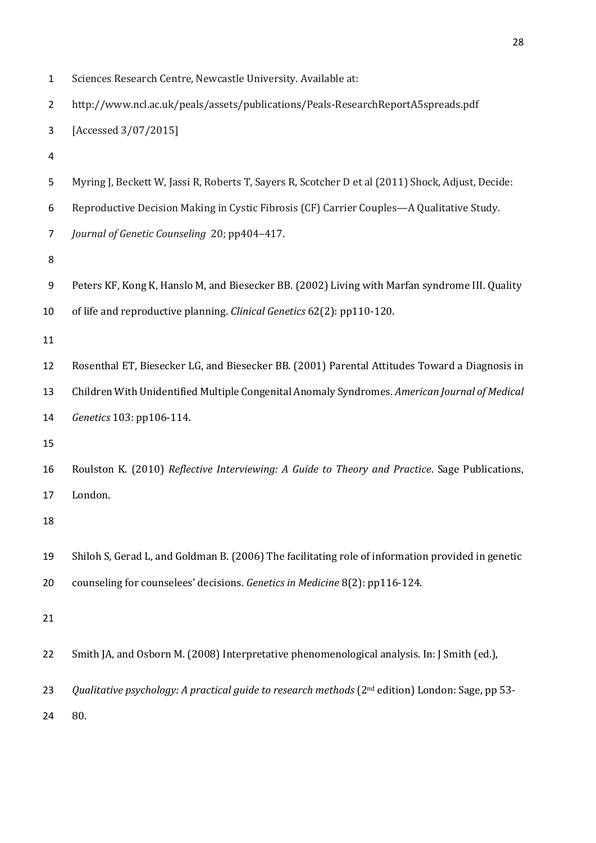| $\mathbf{1}$   | Sciences Research Centre, Newcastle University. Available at:                                       |
|----------------|-----------------------------------------------------------------------------------------------------|
| $\overline{2}$ | http://www.ncl.ac.uk/peals/assets/publications/Peals-ResearchReportA5spreads.pdf                    |
| 3              | [Accessed 3/07/2015]                                                                                |
| 4              |                                                                                                     |
| 5              | Myring J, Beckett W, Jassi R, Roberts T, Sayers R, Scotcher D et al (2011) Shock, Adjust, Decide:   |
| 6              | Reproductive Decision Making in Cystic Fibrosis (CF) Carrier Couples—A Qualitative Study.           |
| 7              | Journal of Genetic Counseling 20; pp404-417.                                                        |
| 8              |                                                                                                     |
| 9              | Peters KF, Kong K, Hanslo M, and Biesecker BB. (2002) Living with Marfan syndrome III. Quality      |
| 10             | of life and reproductive planning. Clinical Genetics 62(2): pp110-120.                              |
| 11             |                                                                                                     |
| 12             | Rosenthal ET, Biesecker LG, and Biesecker BB. (2001) Parental Attitudes Toward a Diagnosis in       |
| 13             | Children With Unidentified Multiple Congenital Anomaly Syndromes. American Journal of Medical       |
| 14             | Genetics 103: pp106-114.                                                                            |
| 15             |                                                                                                     |
| 16             | Roulston K. (2010) Reflective Interviewing: A Guide to Theory and Practice. Sage Publications,      |
| 17             | London.                                                                                             |
| 18             |                                                                                                     |
| 19             | Shiloh S, Gerad L, and Goldman B. (2006) The facilitating role of information provided in genetic   |
| 20             | counseling for counselees' decisions. Genetics in Medicine 8(2): pp116-124.                         |
|                |                                                                                                     |
| 21             |                                                                                                     |
| 22             | Smith JA, and Osborn M. (2008) Interpretative phenomenological analysis. In: J Smith (ed.),         |
| 23             | Qualitative psychology: A practical guide to research methods ( $2nd$ edition) London: Sage, pp 53- |
| 24             | 80.                                                                                                 |
|                |                                                                                                     |